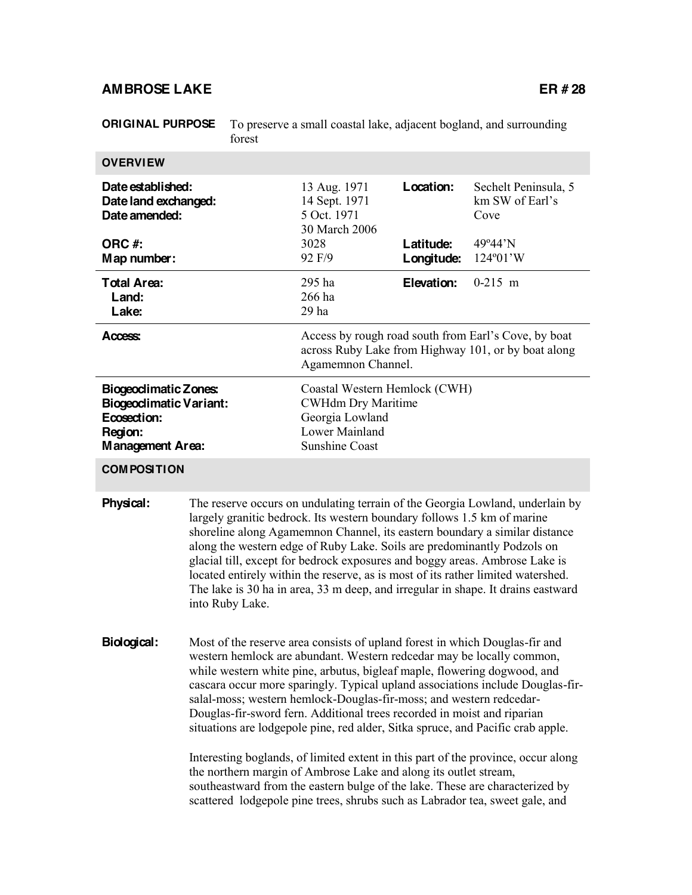# AMBROSE LAKE ER # 28

| <b>ORIGINAL PURPOSE</b>                                                                                            | forest                                                                                                                                                                                                                                                                                                                                                                                                                                                                                                                                                                                      |                                                                                                                                   | To preserve a small coastal lake, adjacent bogland, and surrounding |                                                 |                                      |  |
|--------------------------------------------------------------------------------------------------------------------|---------------------------------------------------------------------------------------------------------------------------------------------------------------------------------------------------------------------------------------------------------------------------------------------------------------------------------------------------------------------------------------------------------------------------------------------------------------------------------------------------------------------------------------------------------------------------------------------|-----------------------------------------------------------------------------------------------------------------------------------|---------------------------------------------------------------------|-------------------------------------------------|--------------------------------------|--|
| <b>OVERVIEW</b>                                                                                                    |                                                                                                                                                                                                                                                                                                                                                                                                                                                                                                                                                                                             |                                                                                                                                   |                                                                     |                                                 |                                      |  |
| Date established:<br>Date land exchanged:<br>Date amended:                                                         |                                                                                                                                                                                                                                                                                                                                                                                                                                                                                                                                                                                             | 13 Aug. 1971<br>14 Sept. 1971<br>5 Oct. 1971<br>30 March 2006                                                                     | Location:                                                           | Sechelt Peninsula, 5<br>km SW of Earl's<br>Cove |                                      |  |
| ORC #:<br>Map number:                                                                                              |                                                                                                                                                                                                                                                                                                                                                                                                                                                                                                                                                                                             |                                                                                                                                   | 3028<br>92 F/9                                                      | Latitude:<br>Longitude:                         | 49°44'N<br>$124^{\circ}01^{\prime}W$ |  |
| <b>Total Area:</b><br>Land:<br>Lake:                                                                               |                                                                                                                                                                                                                                                                                                                                                                                                                                                                                                                                                                                             |                                                                                                                                   | 295 ha<br>266 ha<br>$29$ ha                                         | Elevation:                                      | $0-215$ m                            |  |
| Access:                                                                                                            |                                                                                                                                                                                                                                                                                                                                                                                                                                                                                                                                                                                             | Access by rough road south from Earl's Cove, by boat<br>across Ruby Lake from Highway 101, or by boat along<br>Agamemnon Channel. |                                                                     |                                                 |                                      |  |
| <b>Biogeoclimatic Zones:</b><br><b>Biogeodimatic Variant:</b><br>Ecosection:<br>Region:<br><b>Management Area:</b> |                                                                                                                                                                                                                                                                                                                                                                                                                                                                                                                                                                                             | Coastal Western Hemlock (CWH)<br><b>CWHdm Dry Maritime</b><br>Georgia Lowland<br><b>Lower Mainland</b><br><b>Sunshine Coast</b>   |                                                                     |                                                 |                                      |  |
| <b>COMPOSITION</b>                                                                                                 |                                                                                                                                                                                                                                                                                                                                                                                                                                                                                                                                                                                             |                                                                                                                                   |                                                                     |                                                 |                                      |  |
| Physical:                                                                                                          | The reserve occurs on undulating terrain of the Georgia Lowland, underlain by<br>largely granitic bedrock. Its western boundary follows 1.5 km of marine<br>shoreline along Agamemnon Channel, its eastern boundary a similar distance<br>along the western edge of Ruby Lake. Soils are predominantly Podzols on<br>glacial till, except for bedrock exposures and boggy areas. Ambrose Lake is<br>located entirely within the reserve, as is most of its rather limited watershed.<br>The lake is 30 ha in area, 33 m deep, and irregular in shape. It drains eastward<br>into Ruby Lake. |                                                                                                                                   |                                                                     |                                                 |                                      |  |
| Biological:                                                                                                        | Most of the reserve area consists of upland forest in which Douglas-fir and<br>western hemlock are abundant. Western redcedar may be locally common,<br>while western white pine, arbutus, bigleaf maple, flowering dogwood, and<br>cascara occur more sparingly. Typical upland associations include Douglas-fir-<br>salal-moss; western hemlock-Douglas-fir-moss; and western redcedar-<br>Douglas-fir-sword fern. Additional trees recorded in moist and riparian<br>situations are lodgepole pine, red alder, Sitka spruce, and Pacific crab apple.                                     |                                                                                                                                   |                                                                     |                                                 |                                      |  |
|                                                                                                                    | Interesting boglands, of limited extent in this part of the province, occur along<br>the northern margin of Ambrose Lake and along its outlet stream,<br>southeastward from the eastern bulge of the lake. These are characterized by<br>scattered lodgepole pine trees, shrubs such as Labrador tea, sweet gale, and                                                                                                                                                                                                                                                                       |                                                                                                                                   |                                                                     |                                                 |                                      |  |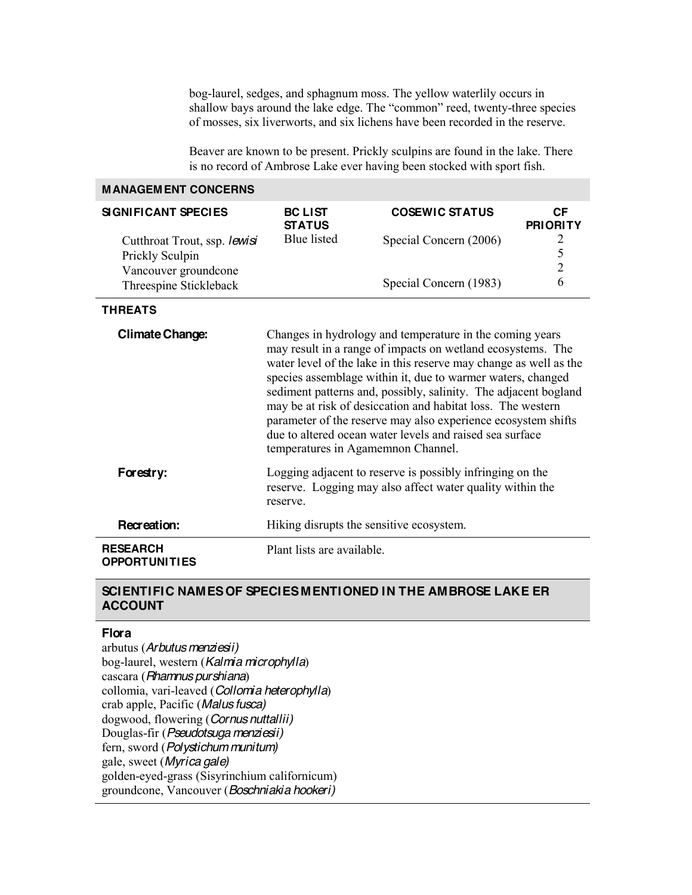bog-laurel, sedges, and sphagnum moss. The yellow waterlily occurs in shallow bays around the lake edge. The "common" reed, twenty-three species of mosses, six liverworts, and six lichens have been recorded in the reserve.

Beaver are known to be present. Prickly sculpins are found in the lake. There is no record of Ambrose Lake ever having been stocked with sport fish.

### **MANAGEMENT CONCERNS**

| <b>SIGNIFICANT SPECIES</b>                                              | <b>BC LIST</b><br><b>STATUS</b> | <b>COSEWIC STATUS</b>  | СF<br><b>PRIORITY</b> |
|-------------------------------------------------------------------------|---------------------------------|------------------------|-----------------------|
| Cutthroat Trout, ssp. lewisi<br>Prickly Sculpin<br>Vancouver groundcone | Blue listed                     | Special Concern (2006) |                       |
| Threespine Stickleback                                                  |                                 | Special Concern (1983) | h                     |

#### **THREATS**

| <b>Climate Change:</b>                  | Changes in hydrology and temperature in the coming years<br>may result in a range of impacts on wetland ecosystems. The<br>water level of the lake in this reserve may change as well as the<br>species assemblage within it, due to warmer waters, changed<br>sediment patterns and, possibly, salinity. The adjacent bogland<br>may be at risk of desiccation and habitat loss. The western<br>parameter of the reserve may also experience ecosystem shifts<br>due to altered ocean water levels and raised sea surface<br>temperatures in Agamemnon Channel. |
|-----------------------------------------|------------------------------------------------------------------------------------------------------------------------------------------------------------------------------------------------------------------------------------------------------------------------------------------------------------------------------------------------------------------------------------------------------------------------------------------------------------------------------------------------------------------------------------------------------------------|
| Forestry:                               | Logging adjacent to reserve is possibly infringing on the<br>reserve. Logging may also affect water quality within the<br>reserve.                                                                                                                                                                                                                                                                                                                                                                                                                               |
| Recreation:                             | Hiking disrupts the sensitive ecosystem.                                                                                                                                                                                                                                                                                                                                                                                                                                                                                                                         |
| <b>RESEARCH</b><br><b>OPPORTUNITIES</b> | Plant lists are available.                                                                                                                                                                                                                                                                                                                                                                                                                                                                                                                                       |

### **SCIENTIFIC NAMES OF SPECIES MENTIONED IN THE AMBROSE LAKE ER ACCOUNT**

## **Flora**

arbutus (*Arbutus menziesii)* bog-laurel, western (*Kalmia microphylla*) cascara (*Rhamnus purshiana*) collomia, vari-leaved (*Collomia heterophylla*) crab apple, Pacific (*Malus fusca)* dogwood, flowering (*Cornus nuttallii)* Douglas-fir (*Pseudotsuga menziesii)* fern, sword (*Polystichum munitum)* gale, sweet (*Myrica gale)* golden-eyed-grass (Sisyrinchium californicum) groundcone, Vancouver (*Boschniakia hookeri)*